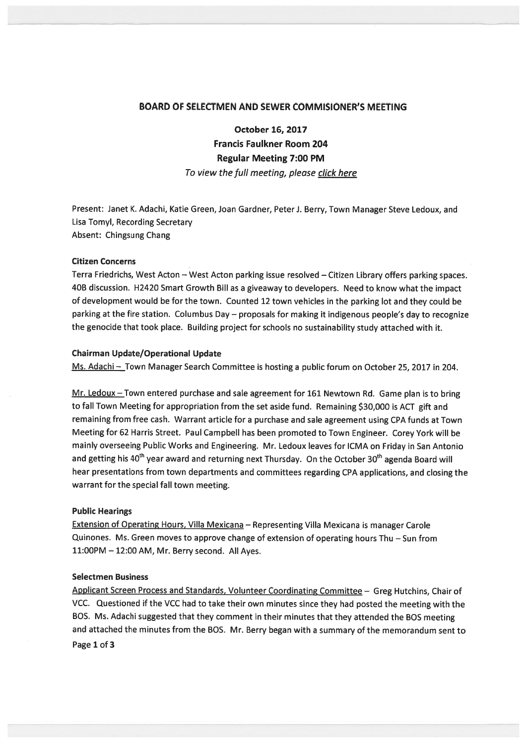## BOARD OF SELECTMEN AND SEWER COMMISIONER'S MEETING

October 16, 2017 Francis Faulkner Room 204 Regular Meeting 7:00 PM To view the full meeting, please click here

Present: Janet K. Adachi, Katie Green, Joan Gardner, Peter J. Berry, Town Manager Steve Ledoux, and Lisa Tomyl, Recording Secretary Absent: Chingsung Chang

## Citizen Concerns

Terra Friedrichs, West Acton — West Acton parking issue resolved — Citizen Library offers parking spaces. 40B discussion. H2420 Smart Growth Bill as <sup>a</sup> <sup>g</sup>iveaway to developers. Need to know what the impact of development would be for the town. Counted <sup>12</sup> town vehicles in the parking lot and they could be parking at the fire station. Columbus Day — proposals for making it indigenous people's day to recognize the genocide that took <sup>p</sup>lace. Building project for schools no sustainability study attached with it.

## Chairman Update/Operational Update

Ms. Adachi - Town Manager Search Committee is hosting a public forum on October 25, 2017 in 204.

Mr. Ledoux - Town entered purchase and sale agreement for 161 Newtown Rd. Game plan is to bring to fall Town Meeting for appropriation from the set aside fund. Remaining \$30,000 is ACT <sup>g</sup>ift and remaining from free cash. Warrant article for <sup>a</sup> purchase and sale agreemen<sup>t</sup> using CPA funds at Town Meeting for <sup>62</sup> Harris Street. Paul Campbell has been promoted to Town Engineer. Corey York will be mainly overseeing Public Works and Engineering. Mr. Ledoux leaves for ICMA on Friday in San Antonio and getting his 40<sup>th</sup> year award and returning next Thursday. On the October 30<sup>th</sup> agenda Board will hear presentations from town departments and committees regarding CPA applications, and closing the warrant for the special fall town meeting.

### Public Hearings

Extension of Operating Hours, Villa Mexicana – Representing Villa Mexicana is manager Carole Quinones. Ms. Green moves to approve change of extension of operating hours Thu — Sun from 11:00PM — 12:00 AM, Mr. Berry second. All Ayes.

# Selectmen Business

Applicant Screen Process and Standards, Volunteer Coordinating Committee — Greg Hutchins, Chair of VCC. Questioned if the VCC had to take their own minutes since they had posted the meeting with the BOS. Ms. Adachi suggested that they comment in their minutes that they attended the BOS meeting and attached the minutes from the BOS. Mr. Berry began with <sup>a</sup> summary of the memorandum sent to Page 1 of 3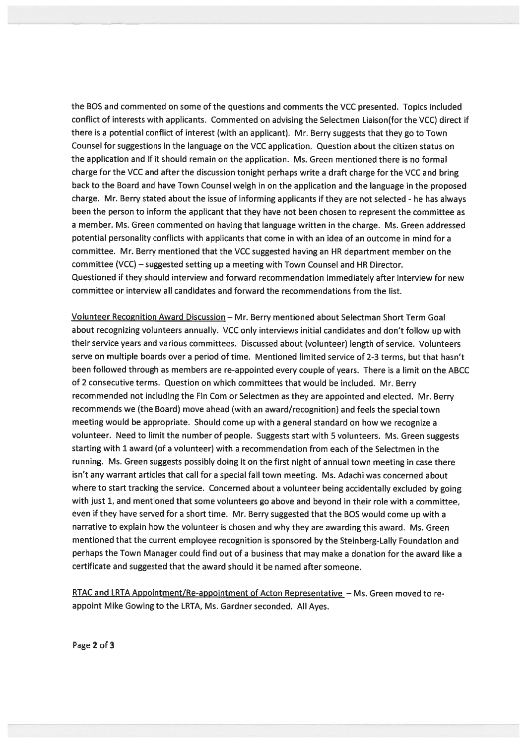the BOS and commented on some of the questions and comments the VCC presented. Topics included conflict of interests with applicants. Commented on advising the Selectmen Liaison(for the VCC) direct if there is <sup>a</sup> potential conflict of interest (with an applicant). Mr. Berry suggests that they go to Town Counsel for suggestions in the language on the VCC application. Question about the citizen status on the application and if it should remain on the application. Ms. Green mentioned there is no formal charge for the VCC and after the discussion tonight perhaps write <sup>a</sup> draft charge for the VCC and bring back to the Board and have Town Counsel weigh in on the application and the language in the proposed charge. Mr. Berry stated about the issue of informing applicants if they are not selected - he has always been the person to inform the applicant that they have not been chosen to represen<sup>t</sup> the committee as <sup>a</sup> member. Ms. Green commented on having that language written in the charge. Ms. Green addressed potential personality conflicts with applicants that come in with an idea of an outcome in mind for <sup>a</sup> committee. Mr. Berry mentioned that the VCC suggested having an HR department member on the committee (VCC) —suggested setting up <sup>a</sup> meeting with Town Counsel and HR Director. Questioned if they should interview and forward recommendation immediately after interview for new committee or interview all candidates and forward the recommendations from the list.

Volunteer Recognition Award Discussion — Mr. Berry mentioned about Selectman Short Term Goal about recognizing volunteers annually. VCC only interviews initial candidates and don't follow up with their service years and various committees. Discussed about (volunteer) length of service. Volunteers serve on multiple boards over <sup>a</sup> period of time. Mentioned limited service of 2-3 terms, but that hasn't been followed through as members are re-appointed every couple of years. There is <sup>a</sup> limit on the ABCC of <sup>2</sup> consecutive terms. Question on which committees that would be included. Mr. Berry recommended not including the Fin Com or Selectmen as they are appointed and elected. Mr. Berry recommends we (the Board) move ahead (with an award/recognition) and feels the special town meeting would be appropriate. Should come up with <sup>a</sup> genera<sup>l</sup> standard on how we recognize <sup>a</sup> volunteer. Need to limit the number of people. Suggests start with <sup>5</sup> volunteers. Ms. Green suggests starting with 1 award (of <sup>a</sup> volunteer) with <sup>a</sup> recommendation from each of the Selectmen in the running. Ms. Green suggests possibly doing it on the first night of annual town meeting in case there isn't any warrant articles that call for <sup>a</sup> special fall town meeting. Ms. Adachi was concerned about where to start tracking the service. Concerned about <sup>a</sup> volunteer being accidentally excluded by going with just 1, and mentioned that some volunteers go above and beyond in their role with <sup>a</sup> committee, even if they have served for <sup>a</sup> short time. Mr. Berry suggested that the BOS would come up with <sup>a</sup> narrative to explain how the volunteer is chosen and why they are awarding this award. Ms. Green mentioned that the current employee recognition is sponsore<sup>d</sup> by the Steinberg-Lally Foundation and perhaps the Town Manager could find out of <sup>a</sup> business that may make <sup>a</sup> donation for the award like <sup>a</sup> certificate and suggested that the award should it be named after someone.

RTAC and LRTA Appointment/Re-appointment of Acton Representative - Ms. Green moved to reappoint Mike Gowing to the LRTA, Ms. Gardner seconded. All Ayes.

Page 2 of 3